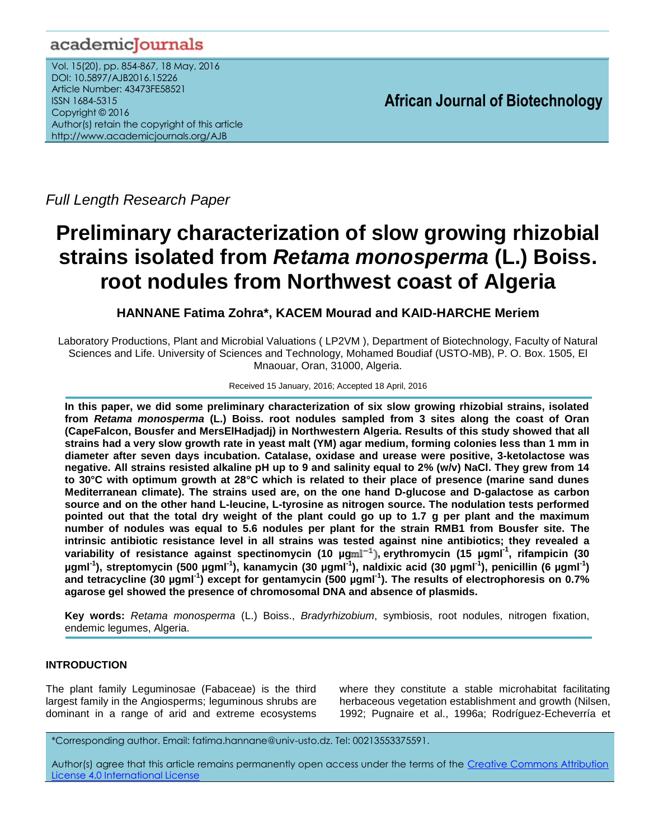# academicJournals

Vol. 15(20), pp. 854-867, 18 May, 2016 DOI: 10.5897/AJB2016.15226 Article Number: 43473FE58521 ISSN 1684-5315 Copyright © 2016 Author(s) retain the copyright of this article http://www.academicjournals.org/AJB

**African Journal of Biotechnology**

*Full Length Research Paper*

# **Preliminary characterization of slow growing rhizobial strains isolated from** *Retama monosperma* **(L.) Boiss. root nodules from Northwest coast of Algeria**

**HANNANE Fatima Zohra\*, KACEM Mourad and KAID-HARCHE Meriem**

Laboratory Productions, Plant and Microbial Valuations ( LP2VM ), Department of Biotechnology, Faculty of Natural Sciences and Life. University of Sciences and Technology, Mohamed Boudiaf (USTO-MB), P. O. Box. 1505, El Mnaouar, Oran, 31000, Algeria.

Received 15 January, 2016; Accepted 18 April, 2016

**In this paper, we did some preliminary characterization of six slow growing rhizobial strains, isolated from** *Retama monosperma* **(L.) Boiss. root nodules sampled from 3 sites along the coast of Oran (CapeFalcon, Bousfer and MersElHadjadj) in Northwestern Algeria. Results of this study showed that all strains had a very slow growth rate in yeast malt (YM) agar medium, forming colonies less than 1 mm in diameter after seven days incubation. Catalase, oxidase and urease were positive, 3-ketolactose was negative. All strains resisted alkaline pH up to 9 and salinity equal to 2% (w/v) NaCl. They grew from 14 to 30°C with optimum growth at 28°C which is related to their place of presence (marine sand dunes Mediterranean climate). The strains used are, on the one hand D-glucose and D-galactose as carbon source and on the other hand L-leucine, L-tyrosine as nitrogen source. The nodulation tests performed pointed out that the total dry weight of the plant could go up to 1.7 g per plant and the maximum number of nodules was equal to 5.6 nodules per plant for the strain RMB1 from Bousfer site. The intrinsic antibiotic resistance level in all strains was tested against nine antibiotics; they revealed a variability of resistance against spectinomycin (10 µg , erythromycin (15 µgml-1 , rifampicin (30 µgml-1 ), streptomycin (500 µgml-1 ), kanamycin (30 µgml-1 ), naldixic acid (30 µgml-1 ), penicillin (6 µgml-1 ) and tetracycline (30 µgml-1 ) except for gentamycin (500 µgml-1 ). The results of electrophoresis on 0.7% agarose gel showed the presence of chromosomal DNA and absence of plasmids.**

**Key words:** *Retama monosperma* (L.) Boiss., *Bradyrhizobium*, symbiosis, root nodules, nitrogen fixation, endemic legumes, Algeria.

# **INTRODUCTION**

The plant family Leguminosae (Fabaceae) is the third largest family in the Angiosperms; leguminous shrubs are dominant in a range of arid and extreme ecosystems where they constitute a stable microhabitat facilitating herbaceous vegetation establishment and growth (Nilsen, 1992; Pugnaire et al., 1996a; Rodríguez-Echeverría et

\*Corresponding author. Email: fatima.hannane@univ-usto.dz. Tel: 00213553375591.

Author(s) agree that this article remains permanently open access under the terms of the Creative Commons Attribution [License 4.0 International License](http://creativecommons.org/licenses/by/4.0/deed.en_US)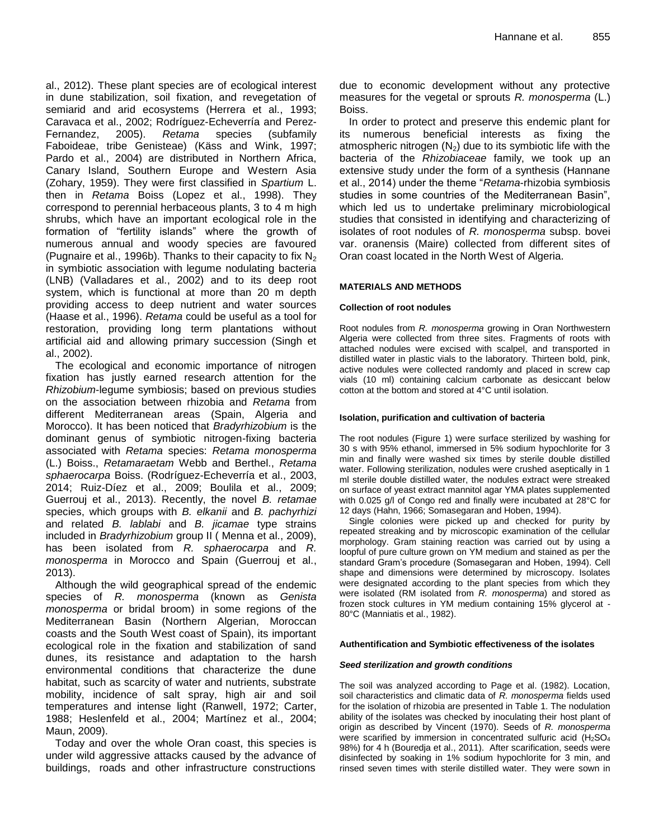al., 2012). These plant species are of ecological interest in dune stabilization, soil fixation, and revegetation of semiarid and arid ecosystems (Herrera et al., 1993; Caravaca et al., 2002; Rodríguez-Echeverría and Perez-Fernandez, 2005). *Retama* species (subfamily Faboideae, tribe Genisteae) (Käss and Wink, 1997; Pardo et al., 2004) are distributed in Northern Africa, Canary Island, Southern Europe and Western Asia (Zohary, 1959). They were first classified in *Spartium* L. then in *Retama* Boiss (Lopez et al., 1998). They correspond to perennial herbaceous plants, 3 to 4 m high shrubs, which have an important ecological role in the formation of "fertility islands" where the growth of numerous annual and woody species are favoured (Pugnaire et al., 1996b). Thanks to their capacity to fix  $N_2$ in symbiotic association with legume nodulating bacteria (LNB) (Valladares et al., 2002) and to its deep root system, which is functional at more than 20 m depth providing access to deep nutrient and water sources (Haase et al., 1996). *Retama* could be useful as a tool for restoration, providing long term plantations without artificial aid and allowing primary succession (Singh et al., 2002).

The ecological and economic importance of nitrogen fixation has justly earned research attention for the *Rhizobium*-legume symbiosis; based on previous studies on the association between rhizobia and *Retama* from different Mediterranean areas (Spain, Algeria and Morocco). It has been noticed that *Bradyrhizobium* is the dominant genus of symbiotic nitrogen-fixing bacteria associated with *Retama* species: *Retama monosperma* (L.) Boiss., *Retamaraetam* Webb and Berthel., *Retama sphaerocarpa* Boiss. (Rodríguez-Echeverría et al., 2003, 2014; Ruiz-Díez et al., 2009; Boulila et al., 2009; Guerrouj et al., 2013). Recently, the novel *B. retamae* species, which groups with *B. elkanii* and *B. pachyrhizi* and related *B. lablabi* and *B. jicamae* type strains included in *Bradyrhizobium* group II ( Menna et al., 2009), has been isolated from *R. sphaerocarpa* and *R. monosperma* in Morocco and Spain (Guerrouj et al., 2013).

Although the wild geographical spread of the endemic species of *R. monosperma* (known as *Genista monosperma* or bridal broom) in some regions of the Mediterranean Basin (Northern Algerian, Moroccan coasts and the South West coast of Spain), its important ecological role in the fixation and stabilization of sand dunes, its resistance and adaptation to the harsh environmental conditions that characterize the dune habitat, such as scarcity of water and nutrients, substrate mobility, incidence of salt spray, high air and soil temperatures and intense light (Ranwell, 1972; Carter, 1988; Heslenfeld et al., 2004; Martínez et al., 2004; Maun, 2009).

Today and over the whole Oran coast, this species is under wild aggressive attacks caused by the advance of buildings, roads and other infrastructure constructions

due to economic development without any protective measures for the vegetal or sprouts *R. monosperma* (L.) Boiss.

In order to protect and preserve this endemic plant for its numerous beneficial interests as fixing the atmospheric nitrogen  $(N_2)$  due to its symbiotic life with the bacteria of the *Rhizobiaceae* family, we took up an extensive study under the form of a synthesis (Hannane et al., 2014) under the theme "*Retama*-rhizobia symbiosis studies in some countries of the Mediterranean Basin", which led us to undertake preliminary microbiological studies that consisted in identifying and characterizing of isolates of root nodules of *R. monosperma* subsp. bovei var. oranensis (Maire) collected from different sites of Oran coast located in the North West of Algeria.

#### **MATERIALS AND METHODS**

#### **Collection of root nodules**

Root nodules from *R. monosperma* growing in Oran Northwestern Algeria were collected from three sites. Fragments of roots with attached nodules were excised with scalpel, and transported in distilled water in plastic vials to the laboratory. Thirteen bold, pink, active nodules were collected randomly and placed in screw cap vials (10 ml) containing calcium carbonate as desiccant below cotton at the bottom and stored at 4°C until isolation.

#### **Isolation, purification and cultivation of bacteria**

The root nodules (Figure 1) were surface sterilized by washing for 30 s with 95% ethanol, immersed in 5% sodium hypochlorite for 3 min and finally were washed six times by sterile double distilled water. Following sterilization, nodules were crushed aseptically in 1 ml sterile double distilled water, the nodules extract were streaked on surface of yeast extract mannitol agar YMA plates supplemented with 0.025 g/l of Congo red and finally were incubated at 28°C for 12 days (Hahn, 1966; Somasegaran and Hoben, 1994).

Single colonies were picked up and checked for purity by repeated streaking and by microscopic examination of the cellular morphology. Gram staining reaction was carried out by using a loopful of pure culture grown on YM medium and stained as per the standard Gram"s procedure (Somasegaran and Hoben, 1994). Cell shape and dimensions were determined by microscopy. Isolates were designated according to the plant species from which they were isolated (RM isolated from *R. monosperma*) and stored as frozen stock cultures in YM medium containing 15% glycerol at - 80°C (Manniatis et al., 1982).

#### **Authentification and Symbiotic effectiveness of the isolates**

#### *Seed sterilization and growth conditions*

The soil was analyzed according to Page et al. (1982). Location, soil characteristics and climatic data of *R. monosperma* fields used for the isolation of rhizobia are presented in Table 1. The nodulation ability of the isolates was checked by inoculating their host plant of origin as described by Vincent (1970). Seeds of *R. monosperma* were scarified by immersion in concentrated sulfuric acid  $(H<sub>2</sub>SO<sub>4</sub>)$ 98%) for 4 h (Bouredja et al., 2011). After scarification, seeds were disinfected by soaking in 1% sodium hypochlorite for 3 min, and rinsed seven times with sterile distilled water. They were sown in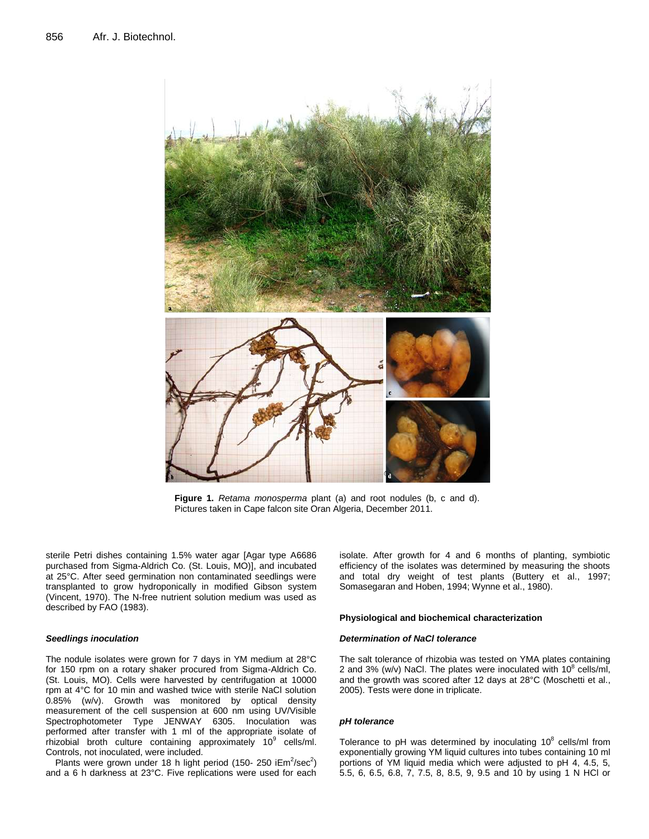

**Figure 1.** *Retama monosperma* plant (a) and root nodules (b, c and d). Pictures taken in Cape falcon site Oran Algeria, December 2011.

sterile Petri dishes containing 1.5% water agar [Agar type A6686 purchased from Sigma-Aldrich Co. (St. Louis, MO)], and incubated at 25°C. After seed germination non contaminated seedlings were transplanted to grow hydroponically in modified Gibson system (Vincent, 1970). The N-free nutrient solution medium was used as described by FAO (1983).

#### *Seedlings inoculation*

The nodule isolates were grown for 7 days in YM medium at 28°C for 150 rpm on a rotary shaker procured from Sigma-Aldrich Co. (St. Louis, MO). Cells were harvested by centrifugation at 10000 rpm at 4°C for 10 min and washed twice with sterile NaCl solution 0.85% (w/v). Growth was monitored by optical density measurement of the cell suspension at 600 nm using UV/Visible Spectrophotometer Type JENWAY 6305. Inoculation was performed after transfer with 1 ml of the appropriate isolate of rhizobial broth culture containing approximately 10<sup>9</sup> cells/ml. Controls, not inoculated, were included.

Plants were grown under 18 h light period (150- 250 i $Em^2/sec^2$ ) and a 6 h darkness at 23°C. Five replications were used for each

isolate. After growth for 4 and 6 months of planting, symbiotic efficiency of the isolates was determined by measuring the shoots and total dry weight of test plants (Buttery et al., 1997; Somasegaran and Hoben, 1994; Wynne et al., 1980).

#### **Physiological and biochemical characterization**

#### *Determination of NaCl tolerance*

The salt tolerance of rhizobia was tested on YMA plates containing 2 and 3% (w/v) NaCl. The plates were inoculated with  $10^8$  cells/ml, and the growth was scored after 12 days at 28°C (Moschetti et al., 2005). Tests were done in triplicate.

#### *pH tolerance*

Tolerance to pH was determined by inoculating  $10^8$  cells/ml from exponentially growing YM liquid cultures into tubes containing 10 ml portions of YM liquid media which were adjusted to pH 4, 4.5, 5, 5.5, 6, 6.5, 6.8, 7, 7.5, 8, 8.5, 9, 9.5 and 10 by using 1 N HCl or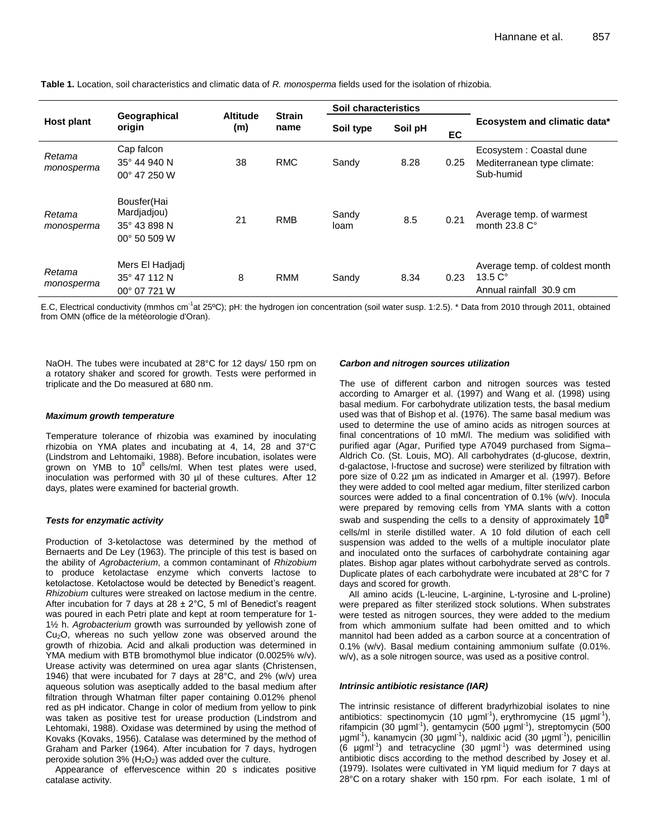**Table 1.** Location, soil characteristics and climatic data of *R. monosperma* fields used for the isolation of rhizobia.

|                      |                                                            |                        |                       | Soil characteristics |         |      | Ecosystem and climatic data*                                                    |  |
|----------------------|------------------------------------------------------------|------------------------|-----------------------|----------------------|---------|------|---------------------------------------------------------------------------------|--|
| <b>Host plant</b>    | Geographical<br>origin                                     | <b>Altitude</b><br>(m) | <b>Strain</b><br>name | Soil type            | Soil pH | EC   |                                                                                 |  |
| Retama<br>monosperma | Cap falcon<br>35° 44 940 N<br>00° 47 250 W                 | 38                     | <b>RMC</b>            | Sandy                | 8.28    | 0.25 | Ecosystem: Coastal dune<br>Mediterranean type climate:<br>Sub-humid             |  |
| Retama<br>monosperma | Bousfer(Hai<br>Mardjadjou)<br>35° 43 898 N<br>00° 50 509 W | 21                     | <b>RMB</b>            | Sandy<br>loam        | 8.5     | 0.21 | Average temp. of warmest<br>month $23.8 \, \text{C}^{\circ}$                    |  |
| Retama<br>monosperma | Mers El Hadjadj<br>35° 47 112 N<br>00° 07 721 W            | 8                      | <b>RMM</b>            | Sandy                | 8.34    | 0.23 | Average temp. of coldest month<br>13.5C <sup>o</sup><br>Annual rainfall 30.9 cm |  |

E.C, Electrical conductivity (mmhos cm<sup>-1</sup>at 25°C); pH: the hydrogen ion concentration (soil water susp. 1:2.5). \* Data from 2010 through 2011, obtained from OMN (office de la météorologie d'Oran).

NaOH. The tubes were incubated at 28°C for 12 days/ 150 rpm on a rotatory shaker and scored for growth. Tests were performed in triplicate and the Do measured at 680 nm.

#### *Maximum growth temperature*

Temperature tolerance of rhizobia was examined by inoculating rhizobia on YMA plates and incubating at 4, 14, 28 and 37°C (Lindstrom and Lehtomaiki, 1988). Before incubation, isolates were grown on YMB to  $10^8$  cells/ml. When test plates were used, inoculation was performed with 30 µl of these cultures. After 12 days, plates were examined for bacterial growth.

#### *Tests for enzymatic activity*

Production of 3-ketolactose was determined by the method of Bernaerts and De Ley (1963). The principle of this test is based on the ability of *Agrobacterium*, a common contaminant of *Rhizobium*  to produce ketolactase enzyme which converts lactose to ketolactose. Ketolactose would be detected by Benedict's reagent. *Rhizobium* cultures were streaked on lactose medium in the centre. After incubation for 7 days at  $28 \pm 2^{\circ}$ C, 5 ml of Benedict's reagent was poured in each Petri plate and kept at room temperature for 1- 1½ h. *Agrobacterium* growth was surrounded by yellowish zone of Cu<sub>2</sub>O, whereas no such yellow zone was observed around the growth of rhizobia. Acid and alkali production was determined in YMA medium with BTB bromothymol blue indicator (0.0025% w/v). Urease activity was determined on urea agar slants (Christensen, 1946) that were incubated for 7 days at 28°C, and 2% (w/v) urea aqueous solution was aseptically added to the basal medium after filtration through Whatman filter paper containing 0.012% phenol red as pH indicator. Change in color of medium from yellow to pink was taken as positive test for urease production (Lindstrom and Lehtomaki, 1988). Oxidase was determined by using the method of Kovaks (Kovaks, 1956). Catalase was determined by the method of Graham and Parker (1964). After incubation for 7 days, hydrogen peroxide solution 3%  $(H_2O_2)$  was added over the culture.

Appearance of effervescence within 20 s indicates positive catalase activity.

#### *Carbon and nitrogen sources utilization*

The use of different carbon and nitrogen sources was tested according to Amarger et al. (1997) and Wang et al. (1998) using basal medium. For carbohydrate utilization tests, the basal medium used was that of Bishop et al. (1976). The same basal medium was used to determine the use of amino acids as nitrogen sources at final concentrations of 10 mM/l. The medium was solidified with purified agar (Agar, Purified type A7049 purchased from Sigma– Aldrich Co. (St. Louis, MO). All carbohydrates (d-glucose, dextrin, d-galactose, l-fructose and sucrose) were sterilized by filtration with pore size of 0.22 µm as indicated in Amarger et al. (1997). Before they were added to cool melted agar medium, filter sterilized carbon sources were added to a final concentration of 0.1% (w/v). Inocula were prepared by removing cells from YMA slants with a cotton swab and suspending the cells to a density of approximately  $10<sup>8</sup>$ cells/ml in sterile distilled water. A 10 fold dilution of each cell suspension was added to the wells of a multiple inoculator plate and inoculated onto the surfaces of carbohydrate containing agar plates. Bishop agar plates without carbohydrate served as controls. Duplicate plates of each carbohydrate were incubated at 28°C for 7 days and scored for growth.

All amino acids (L-leucine, L-arginine, L-tyrosine and L-proline) were prepared as filter sterilized stock solutions. When substrates were tested as nitrogen sources, they were added to the medium from which ammonium sulfate had been omitted and to which mannitol had been added as a carbon source at a concentration of 0.1% (w/v). Basal medium containing ammonium sulfate (0.01%. w/v), as a sole nitrogen source, was used as a positive control.

#### *Intrinsic antibiotic resistance (IAR)*

The intrinsic resistance of different bradyrhizobial isolates to nine antibiotics: spectinomycin (10  $\mu$ gml<sup>-1</sup>), erythromycine (15  $\mu$ gml<sup>-1</sup>), rifampicin (30 µgml<sup>-1</sup>), gentamycin (500 µgml<sup>-1</sup>), streptomycin (500 ugml<sup>-1</sup>), kanamycin (30 µgml<sup>-1</sup>), naldixic acid (30 µgml<sup>-1</sup>), penicillin  $(6 \text{ ppm}^{-1})$  and tetracycline  $(30 \text{ ppm}^{-1})$  was determined using antibiotic discs according to the method described by Josey et al. (1979). Isolates were cultivated in YM liquid medium for 7 days at 28°C on a rotary shaker with 150 rpm. For each isolate, 1 ml of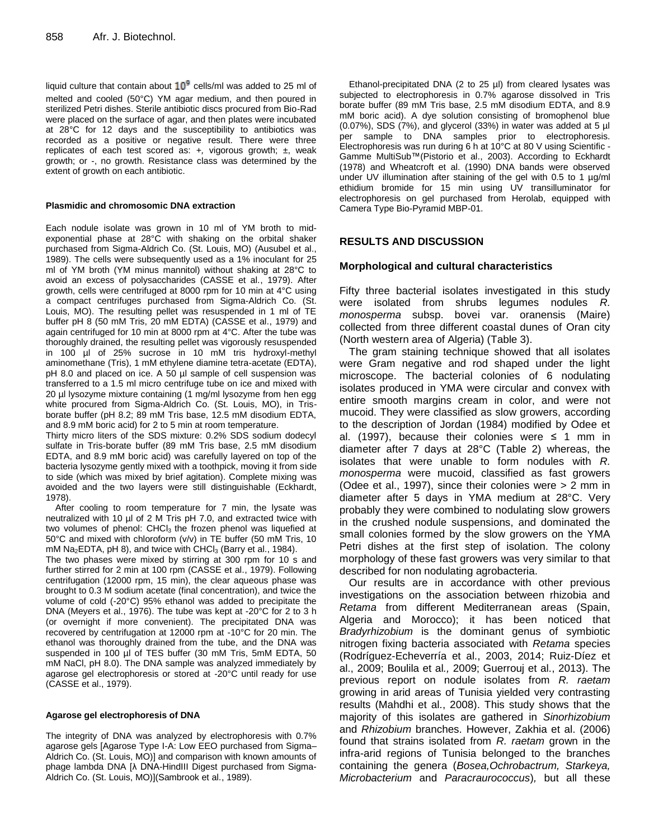liquid culture that contain about  $10^9$  cells/ml was added to 25 ml of melted and cooled (50°C) YM agar medium, and then poured in sterilized Petri dishes. Sterile antibiotic discs procured from Bio-Rad were placed on the surface of agar, and then plates were incubated at 28°C for 12 days and the susceptibility to antibiotics was recorded as a positive or negative result. There were three replicates of each test scored as: *+,* vigorous growth; ±, weak growth; or -, no growth. Resistance class was determined by the extent of growth on each antibiotic.

#### **Plasmidic and chromosomic DNA extraction**

Each nodule isolate was grown in 10 ml of YM broth to midexponential phase at 28°C with shaking on the orbital shaker purchased from Sigma-Aldrich Co. (St. Louis, MO) (Ausubel et al., 1989). The cells were subsequently used as a 1% inoculant for 25 ml of YM broth (YM minus mannitol) without shaking at 28°C to avoid an excess of polysaccharides (CASSE et al., 1979). After growth, cells were centrifuged at 8000 rpm for 10 min at 4°C using a compact centrifuges purchased from Sigma-Aldrich Co. (St. Louis, MO). The resulting pellet was resuspended in 1 ml of TE buffer pH 8 (50 mM Tris, 20 mM EDTA) (CASSE et al., 1979) and again centrifuged for 10 min at 8000 rpm at 4°C. After the tube was thoroughly drained, the resulting pellet was vigorously resuspended in 100 µl of 25% sucrose in 10 mM tris hydroxyl-methyl aminomethane (Tris), 1 mM ethylene diamine tetra-acetate (EDTA), pH 8.0 and placed on ice. A 50 µl sample of cell suspension was transferred to a 1.5 ml micro centrifuge tube on ice and mixed with 20 µl lysozyme mixture containing (1 mg/ml lysozyme from hen egg white procured from Sigma-Aldrich Co. (St. Louis, MO), in Trisborate buffer (pH 8.2; 89 mM Tris base, 12.5 mM disodium EDTA, and 8.9 mM boric acid) for 2 to 5 min at room temperature.

Thirty micro liters of the SDS mixture: 0.2% SDS sodium dodecyl sulfate in Tris-borate buffer (89 mM Tris base, 2.5 mM disodium EDTA, and 8.9 mM boric acid) was carefully layered on top of the bacteria lysozyme gently mixed with a toothpick, moving it from side to side (which was mixed by brief agitation). Complete mixing was avoided and the two layers were still distinguishable (Eckhardt, 1978).

After cooling to room temperature for 7 min, the lysate was neutralized with 10 µl of 2 M Tris pH 7.0, and extracted twice with two volumes of phenol: CHCl<sub>3</sub> the frozen phenol was liquefied at 50°C and mixed with chloroform (v/v) in TE buffer (50 mM Tris, 10 mM Na<sub>2</sub>EDTA, pH 8), and twice with CHCl<sub>3</sub> (Barry et al., 1984).

The two phases were mixed by stirring at 300 rpm for 10 s and further stirred for 2 min at 100 rpm (CASSE et al., 1979). Following centrifugation (12000 rpm, 15 min), the clear aqueous phase was brought to 0.3 M sodium acetate (final concentration), and twice the volume of cold (-20°C) 95% ethanol was added to precipitate the DNA (Meyers et al., 1976). The tube was kept at -20°C for 2 to 3 h (or overnight if more convenient). The precipitated DNA was recovered by centrifugation at 12000 rpm at -10°C for 20 min. The ethanol was thoroughly drained from the tube, and the DNA was suspended in 100 µl of TES buffer (30 mM Tris, 5mM EDTA, 50 mM NaCl, pH 8.0). The DNA sample was analyzed immediately by agarose gel electrophoresis or stored at -20°C until ready for use (CASSE et al., 1979).

#### **Agarose gel electrophoresis of DNA**

The integrity of DNA was analyzed by electrophoresis with 0.7% agarose gels [Agarose Type I-A: Low EEO purchased from Sigma– Aldrich Co. (St. Louis, MO)] and comparison with known amounts of phage lambda DNA [λ DNA-HindIII Digest purchased from Sigma-Aldrich Co. (St. Louis, MO)](Sambrook et al., 1989).

Ethanol-precipitated DNA (2 to 25 µl) from cleared lysates was subjected to electrophoresis in 0.7% agarose dissolved in Tris borate buffer (89 mM Tris base, 2.5 mM disodium EDTA, and 8.9 mM boric acid). A dye solution consisting of bromophenol blue (0.07%), SDS (7%), and glycerol (33%) in water was added at 5 µl per sample to DNA samples prior to electrophoresis. Electrophoresis was run during 6 h at 10°C at 80 V using Scientific - Gamme MultiSub™(Pistorio et al., 2003). According to Eckhardt (1978) and Wheatcroft et al. (1990) DNA bands were observed under UV illumination after staining of the gel with 0.5 to 1  $\mu$ g/ml ethidium bromide for 15 min using UV [transilluminator for](http://www.medicalexpo.fr/prod/herolab/product-84473-542053.html)  [electrophoresis on gel](http://www.medicalexpo.fr/prod/herolab/product-84473-542053.html) purchased from Herolab, equipped with Camera Type Bio-Pyramid MBP-01.

# **RESULTS AND DISCUSSION**

# **Morphological and cultural characteristics**

Fifty three bacterial isolates investigated in this study were isolated from shrubs legumes nodules *R. monosperma* subsp. bovei var. oranensis (Maire) collected from three different coastal dunes of Oran city (North western area of Algeria) (Table 3).

The gram staining technique showed that all isolates were Gram negative and rod shaped under the light microscope. The bacterial colonies of 6 nodulating isolates produced in YMA were circular and convex with entire smooth margins cream in color, and were not mucoid. They were classified as slow growers, according to the description of Jordan (1984) modified by Odee et al. (1997), because their colonies were  $\leq$  1 mm in diameter after 7 days at 28°C (Table 2) whereas, the isolates that were unable to form nodules with *R. monosperma* were mucoid, classified as fast growers (Odee et al., 1997), since their colonies were > 2 mm in diameter after 5 days in YMA medium at 28°C. Very probably they were combined to nodulating slow growers in the crushed nodule suspensions, and dominated the small colonies formed by the slow growers on the YMA Petri dishes at the first step of isolation. The colony morphology of these fast growers was very similar to that described for non nodulating agrobacteria.

Our results are in accordance with other previous investigations on the association between rhizobia and *Retama* from different Mediterranean areas (Spain, Algeria and Morocco); it has been noticed that *Bradyrhizobium* is the dominant genus of symbiotic nitrogen fixing bacteria associated with *Retama* species (Rodríguez-Echeverría et al., 2003, 2014; Ruiz-Díez et al., 2009; Boulila et al*.,* 2009; Guerrouj et al., 2013). The previous report on nodule isolates from *R. raetam* growing in arid areas of Tunisia yielded very contrasting results (Mahdhi et al., 2008). This study shows that the majority of this isolates are gathered in *Sinorhizobium*  and *Rhizobium* branches. However, Zakhia et al. (2006) found that strains isolated from *R. raetam* grown in the infra-arid regions of Tunisia belonged to the branches containing the genera (*Bosea,Ochrobactrum, Starkeya, Microbacterium* and *Paracraurococcus*)*,* but all these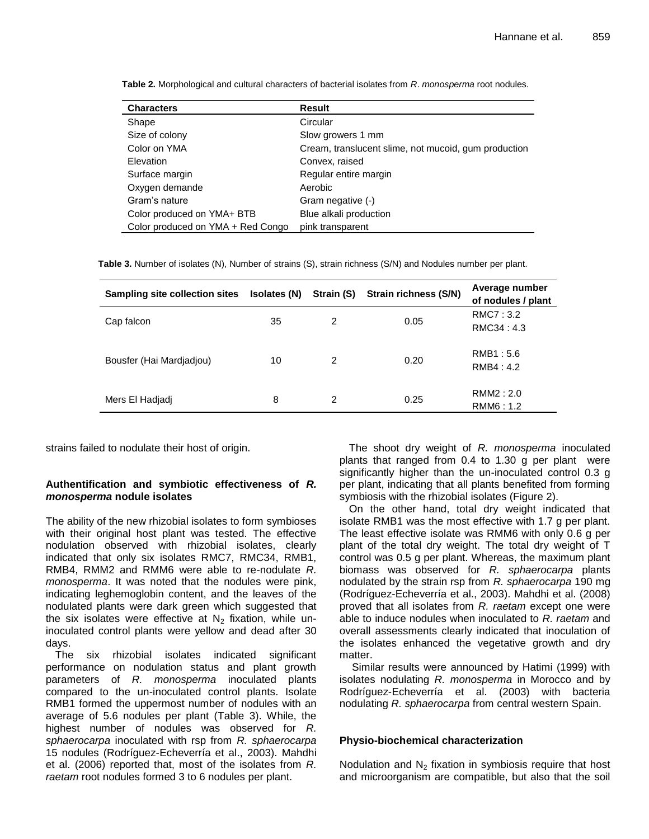| <b>Characters</b>                 | <b>Result</b>                                        |
|-----------------------------------|------------------------------------------------------|
| Shape                             | Circular                                             |
| Size of colony                    | Slow growers 1 mm                                    |
| Color on YMA                      | Cream, translucent slime, not mucoid, gum production |
| Elevation                         | Convex, raised                                       |
| Surface margin                    | Regular entire margin                                |
| Oxygen demande                    | Aerobic                                              |
| Gram's nature                     | Gram negative (-)                                    |
| Color produced on YMA+ BTB        | Blue alkali production                               |
| Color produced on YMA + Red Congo | pink transparent                                     |

**Table 2.** Morphological and cultural characters of bacterial isolates from *R*. *monosperma* root nodules.

**Table 3.** Number of isolates (N), Number of strains (S), strain richness (S/N) and Nodules number per plant.

| Sampling site collection sites | Isolates (N) | Strain (S) | Strain richness (S/N) | Average number<br>of nodules / plant |
|--------------------------------|--------------|------------|-----------------------|--------------------------------------|
| Cap falcon                     | 35           | 2          | 0.05                  | RMC7: 3.2<br>RMC34 : 4.3             |
| Bousfer (Hai Mardiadiou)       | 10           | 2          | 0.20                  | RMB1:5.6<br>RMB4:4.2                 |
| Mers El Hadjadj                | 8            | 2          | 0.25                  | RMM2 : 2.0<br>RMM6: 1.2              |

strains failed to nodulate their host of origin.

# **Authentification and symbiotic effectiveness of** *R. monosperma* **nodule isolates**

The ability of the new rhizobial isolates to form symbioses with their original host plant was tested. The effective nodulation observed with rhizobial isolates, clearly indicated that only six isolates RMC7, RMC34, RMB1, RMB4, RMM2 and RMM6 were able to re-nodulate *R. monosperma*. It was noted that the nodules were pink, indicating leghemoglobin content, and the leaves of the nodulated plants were dark green which suggested that the six isolates were effective at  $N_2$  fixation, while uninoculated control plants were yellow and dead after 30 days.

The six rhizobial isolates indicated significant performance on nodulation status and plant growth parameters of *R. monosperma* inoculated plants compared to the un-inoculated control plants. Isolate RMB1 formed the uppermost number of nodules with an average of 5.6 nodules per plant (Table 3). While, the highest number of nodules was observed for *R. sphaerocarpa* inoculated with rsp from *R. sphaerocarpa* 15 nodules (Rodríguez-Echeverría et al., 2003). Mahdhi et al. (2006) reported that, most of the isolates from *R. raetam* root nodules formed 3 to 6 nodules per plant.

The shoot dry weight of *R. monosperma* inoculated plants that ranged from 0.4 to 1.30 g per plant were significantly higher than the un-inoculated control 0.3 g per plant, indicating that all plants benefited from forming symbiosis with the rhizobial isolates (Figure 2).

On the other hand, total dry weight indicated that isolate RMB1 was the most effective with 1.7 g per plant. The least effective isolate was RMM6 with only 0.6 g per plant of the total dry weight. The total dry weight of T control was 0.5 g per plant. Whereas, the maximum plant biomass was observed for *R. sphaerocarpa* plants nodulated by the strain rsp from *R. sphaerocarpa* 190 mg (Rodríguez-Echeverría et al., 2003). Mahdhi et al. (2008) proved that all isolates from *R. raetam* except one were able to induce nodules when inoculated to *R. raetam* and overall assessments clearly indicated that inoculation of the isolates enhanced the vegetative growth and dry matter.

Similar results were announced by Hatimi (1999) with isolates nodulating *R. monosperma* in Morocco and by Rodríguez-Echeverría et al. (2003) with bacteria nodulating *R. sphaerocarpa* from central western Spain.

# **Physio-biochemical characterization**

Nodulation and  $N_2$  fixation in symbiosis require that host and microorganism are compatible, but also that the soil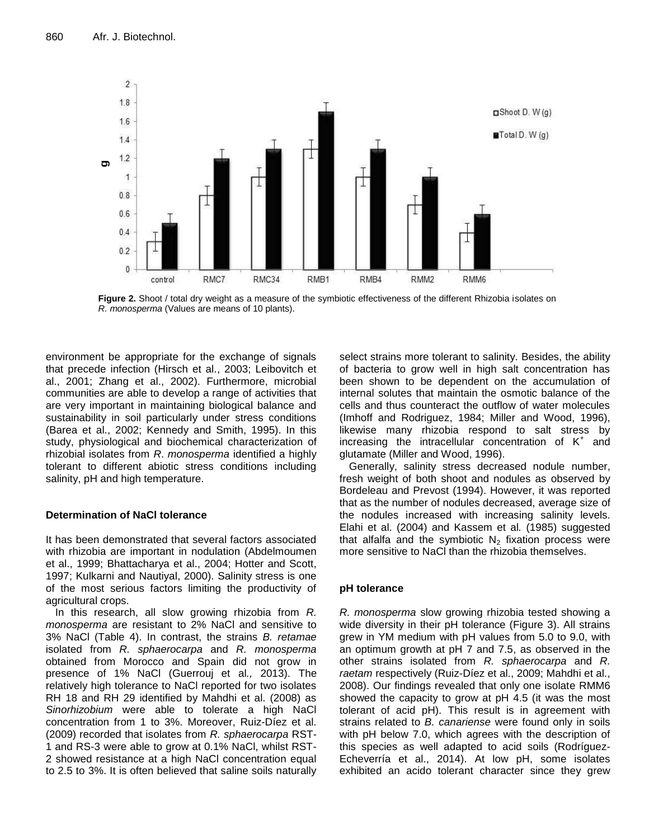

**Figure 2.** Shoot / total dry weight as a measure of the symbiotic effectiveness of the different Rhizobia isolates on *R. monosperma* (Values are means of 10 plants).

environment be appropriate for the exchange of signals that precede infection (Hirsch et al., 2003; Leibovitch et al., 2001; Zhang et al., 2002). Furthermore, microbial communities are able to develop a range of activities that are very important in maintaining biological balance and sustainability in soil particularly under stress conditions (Barea et al., 2002; Kennedy and Smith, 1995). In this study, physiological and biochemical characterization of rhizobial isolates from *R*. *monosperma* identified a highly tolerant to different abiotic stress conditions including salinity, pH and high temperature.

# **Determination of NaCl tolerance**

It has been demonstrated that several factors associated with rhizobia are important in nodulation (Abdelmoumen et al., 1999; Bhattacharya et al., 2004; Hotter and Scott, 1997; Kulkarni and Nautiyal, 2000). Salinity stress is one of the most serious factors limiting the productivity of agricultural crops.

In this research, all slow growing rhizobia from *R. monosperma* are resistant to 2% NaCl and sensitive to 3% NaCl (Table 4). In contrast, the strains *B. retamae* isolated from *R. sphaerocarpa* and *R. monosperma* obtained from Morocco and Spain did not grow in presence of 1% NaCl (Guerrouj et al*.,* 2013). The relatively high tolerance to NaCl reported for two isolates RH 18 and RH 29 identified by Mahdhi et al. (2008) as *Sinorhizobium* were able to tolerate a high NaCl concentration from 1 to 3%. Moreover, Ruiz-Díez et al. (2009) recorded that isolates from *R. sphaerocarpa* RST-1 and RS-3 were able to grow at 0.1% NaCl, whilst RST-2 showed resistance at a high NaCl concentration equal to 2.5 to 3%. It is often believed that saline soils naturally select strains more tolerant to salinity. Besides, the ability of bacteria to grow well in high salt concentration has been shown to be dependent on the accumulation of internal solutes that maintain the osmotic balance of the cells and thus counteract the outflow of water molecules (Imhoff and Rodriguez, 1984; Miller and Wood, 1996), likewise many rhizobia respond to salt stress by increasing the intracellular concentration of  $K^+$  and glutamate (Miller and Wood, 1996).

Generally, salinity stress decreased nodule number, fresh weight of both shoot and nodules as observed by Bordeleau and Prevost (1994). However, it was reported that as the number of nodules decreased, average size of the nodules increased with increasing salinity levels. Elahi et al. (2004) and Kassem et al*.* (1985) suggested that alfalfa and the symbiotic  $N_2$  fixation process were more sensitive to NaCl than the rhizobia themselves.

# **pH tolerance**

*R. monosperma* slow growing rhizobia tested showing a wide diversity in their pH tolerance (Figure 3). All strains grew in YM medium with pH values from 5.0 to 9.0, with an optimum growth at pH 7 and 7.5, as observed in the other strains isolated from *R. sphaerocarpa* and *R. raetam* respectively (Ruiz-Díez et al., 2009; Mahdhi et al., 2008). Our findings revealed that only one isolate RMM6 showed the capacity to grow at pH 4.5 (it was the most tolerant of acid pH). This result is in agreement with strains related to *B. canariense* were found only in soils with pH below 7.0, which agrees with the description of this species as well adapted to acid soils (Rodríguez-Echeverría et al., 2014). At low pH, some isolates exhibited an acido tolerant character since they grew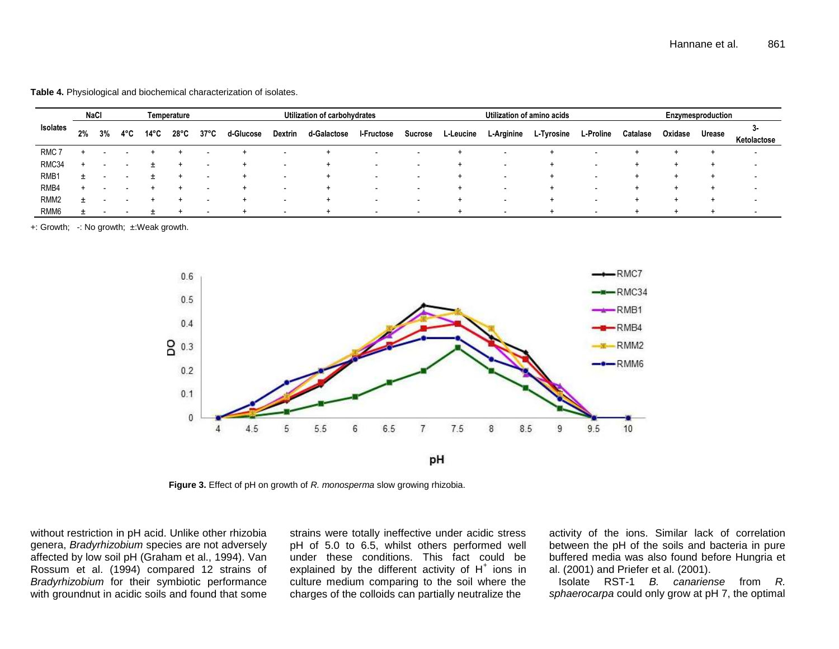**Table 4.** Physiological and biochemical characterization of isolates.

|                  | <b>NaCl</b><br>Temperature |    |     |      | Utilization of carbohydrates |                          |           |                          | Utilization of amino acids |                          |                          |           | Enzymesproduction        |            |                          |          |         |        |                          |
|------------------|----------------------------|----|-----|------|------------------------------|--------------------------|-----------|--------------------------|----------------------------|--------------------------|--------------------------|-----------|--------------------------|------------|--------------------------|----------|---------|--------|--------------------------|
| Isolates         | 2%                         | 3% | 4°C | 14°C | $28^{\circ}$ C               | $37^{\circ}$ C           | d-Glucose | <b>Dextrin</b>           | d-Galactose                | <b>I-Fructose</b>        | <b>Sucrose</b>           | L-Leucine | L-Arginine               | L-Tyrosine | L-Proline                | Catalase | Oxidase | Urease | Ketolactose              |
| RMC <sub>7</sub> |                            |    |     |      |                              |                          |           |                          |                            | -                        | $\overline{\phantom{a}}$ |           |                          |            |                          |          |         |        | $\overline{\phantom{a}}$ |
| RMC34            |                            |    |     |      |                              | $\overline{\phantom{a}}$ |           |                          |                            | $\blacksquare$           | $\overline{\phantom{a}}$ |           | $\overline{\phantom{a}}$ |            |                          |          | $\div$  |        | $\overline{\phantom{a}}$ |
| RMB1             | $+$                        |    |     |      |                              | $\overline{\phantom{a}}$ |           |                          | <b>+</b>                   | $\blacksquare$           | $\overline{\phantom{a}}$ |           | $\overline{\phantom{a}}$ |            |                          |          | $+$     |        | $\overline{\phantom{a}}$ |
| RMB4             |                            |    |     |      |                              | -                        | ÷         |                          |                            | $\blacksquare$           | $\overline{\phantom{a}}$ |           | $\overline{\phantom{a}}$ |            |                          |          | $\div$  |        | $\overline{\phantom{a}}$ |
| RMM <sub>2</sub> | $\div$                     |    |     |      |                              | $\overline{\phantom{a}}$ |           |                          |                            | $\overline{\phantom{a}}$ | $\overline{\phantom{a}}$ |           | $\overline{\phantom{a}}$ |            | $\overline{\phantom{a}}$ |          | $\div$  |        | . .                      |
| RMM <sub>6</sub> | +                          |    |     |      |                              | $\overline{\phantom{a}}$ |           | $\overline{\phantom{0}}$ |                            | $\overline{\phantom{a}}$ | $\sim$                   |           | $\overline{\phantom{a}}$ |            | $\overline{\phantom{a}}$ |          | $\div$  |        | $\overline{\phantom{a}}$ |

+: Growth; -: No growth; ±:Weak growth.



**Figure 3.** Effect of pH on growth of *R. monosperma* slow growing rhizobia.

without restriction in pH acid. Unlike other rhizobia genera, *Bradyrhizobium* species are not adversely affected by low soil pH (Graham et al., 1994). Van Rossum et al. (1994) compared 12 strains of *Bradyrhizobium* for their symbiotic performance with groundnut in acidic soils and found that some

strains were totally ineffective under acidic stress pH of 5.0 to 6.5, whilst others performed well under these conditions. This fact could be explained by the different activity of  $H^+$  ions in culture medium comparing to the soil where the charges of the colloids can partially neutralize the

activity of the ions. Similar lack of correlation between the pH of the soils and bacteria in pure buffered media was also found before Hungria et al. (2001) and Priefer et al. (2001).

Isolate RST-1 *B. canariense* from *R. sphaerocarpa* could only grow at pH 7, the optimal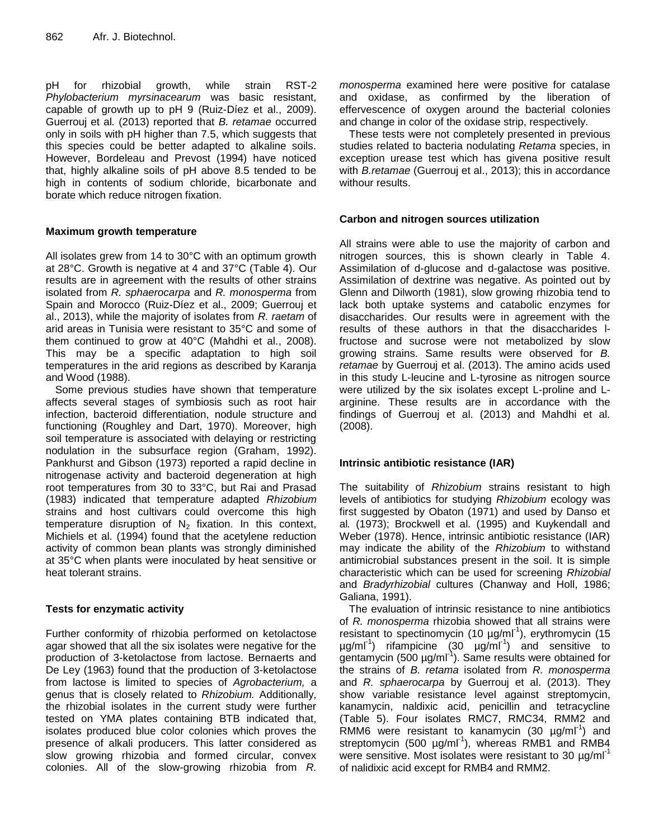pH for rhizobial growth, while strain RST-2 *Phylobacterium myrsinacearum* was basic resistant, capable of growth up to pH 9 (Ruiz-Díez et al., 2009). Guerrouj et al*.* (2013) reported that *B. retamae* occurred only in soils with pH higher than 7.5, which suggests that this species could be better adapted to alkaline soils. However, Bordeleau and Prevost (1994) have noticed that, highly alkaline soils of pH above 8.5 tended to be high in contents of sodium chloride, bicarbonate and borate which reduce nitrogen fixation.

# **Maximum growth temperature**

All isolates grew from 14 to 30°C with an optimum growth at 28°C. Growth is negative at 4 and 37°C (Table 4). Our results are in agreement with the results of other strains isolated from *R. sphaerocarpa* and *R. monosperma* from Spain and Morocco (Ruiz-Díez et al., 2009; Guerrouj et al., 2013), while the majority of isolates from *R. raetam* of arid areas in Tunisia were resistant to 35°C and some of them continued to grow at 40°C (Mahdhi et al., 2008). This may be a specific adaptation to high soil temperatures in the arid regions as described by Karanja and Wood (1988).

Some previous studies have shown that temperature affects several stages of symbiosis such as root hair infection, bacteroid differentiation, nodule structure and functioning (Roughley and Dart, 1970). Moreover, high soil temperature is associated with delaying or restricting nodulation in the subsurface region (Graham, 1992). Pankhurst and Gibson (1973) reported a rapid decline in nitrogenase activity and bacteroid degeneration at high root temperatures from 30 to 33°C, but Rai and Prasad (1983) indicated that temperature adapted *Rhizobium*  strains and host cultivars could overcome this high temperature disruption of  $N_2$  fixation. In this context, Michiels et al. (1994) found that the acetylene reduction activity of common bean plants was strongly diminished at 35°C when plants were inoculated by heat sensitive or heat tolerant strains.

# **Tests for enzymatic activity**

Further conformity of rhizobia performed on ketolactose agar showed that all the six isolates were negative for the production of 3-ketolactose from lactose. Bernaerts and De Ley (1963) found that the production of 3-ketolactose from lactose is limited to species of *Agrobacterium,* a genus that is closely related to *Rhizobium.* Additionally, the rhizobial isolates in the current study were further tested on YMA plates containing BTB indicated that, isolates produced blue color colonies which proves the presence of alkali producers. This latter considered as slow growing rhizobia and formed circular, convex colonies. All of the slow-growing rhizobia from *R.* 

*monosperma* examined here were positive for catalase and oxidase, as confirmed by the liberation of effervescence of oxygen around the bacterial colonies and change in color of the oxidase strip, respectively.

These tests were not completely presented in previous studies related to bacteria nodulating *Retama* species, in exception urease test which has givena positive result with *B.retamae* (Guerrouj et al., 2013); this in accordance withour results.

# **Carbon and nitrogen sources utilization**

All strains were able to use the majority of carbon and nitrogen sources, this is shown clearly in Table 4. Assimilation of d-glucose and d-galactose was positive. Assimilation of dextrine was negative. As pointed out by Glenn and Dilworth (1981), slow growing rhizobia tend to lack both uptake systems and catabolic enzymes for disaccharides. Our results were in agreement with the results of these authors in that the disaccharides lfructose and sucrose were not metabolized by slow growing strains. Same results were observed for *B. retamae* by Guerrouj et al. (2013). The amino acids used in this study L-leucine and L-tyrosine as nitrogen source were utilized by the six isolates except L-proline and Larginine. These results are in accordance with the findings of Guerrouj et al. (2013) and Mahdhi et al. (2008).

# **Intrinsic antibiotic resistance (IAR)**

The suitability of *Rhizobium* strains resistant to high levels of antibiotics for studying *Rhizobium* ecology was first suggested by Obaton (1971) and used by Danso et al*.* (1973); Brockwell et al*.* (1995) and Kuykendall and Weber (1978). Hence, intrinsic antibiotic resistance (IAR) may indicate the ability of the *Rhizobium* to withstand antimicrobial substances present in the soil. It is simple characteristic which can be used for screening *Rhizobial* and *Bradyrhizobial* cultures (Chanway and Holl, 1986; Galiana, 1991).

The evaluation of intrinsic resistance to nine antibiotics of *R. monosperma* rhizobia showed that all strains were resistant to spectinomycin (10  $\mu$ g/ml<sup>-1</sup>), erythromycin (15 µg/ml-1 ) rifampicine (30 µg/ml-1 ) and sensitive to  $\frac{1}{2}$  gentamycin (500 µg/ml<sup>-1</sup>). Same results were obtained for the strains of *B. retama* isolated from *R. monosperma* and *R. sphaerocarpa* by Guerrouj et al. (2013). They show variable resistance level against streptomycin, kanamycin, naldixic acid, penicillin and tetracycline (Table 5). Four isolates RMC7, RMC34, RMM2 and RMM6 were resistant to kanamycin  $(30 \mu g/ml^{-1})$  and streptomycin (500 µg/ml<sup>-1</sup>), whereas RMB1 and RMB4 were sensitive. Most isolates were resistant to 30  $\mu q/ml^{-1}$ of nalidixic acid except for RMB4 and RMM2.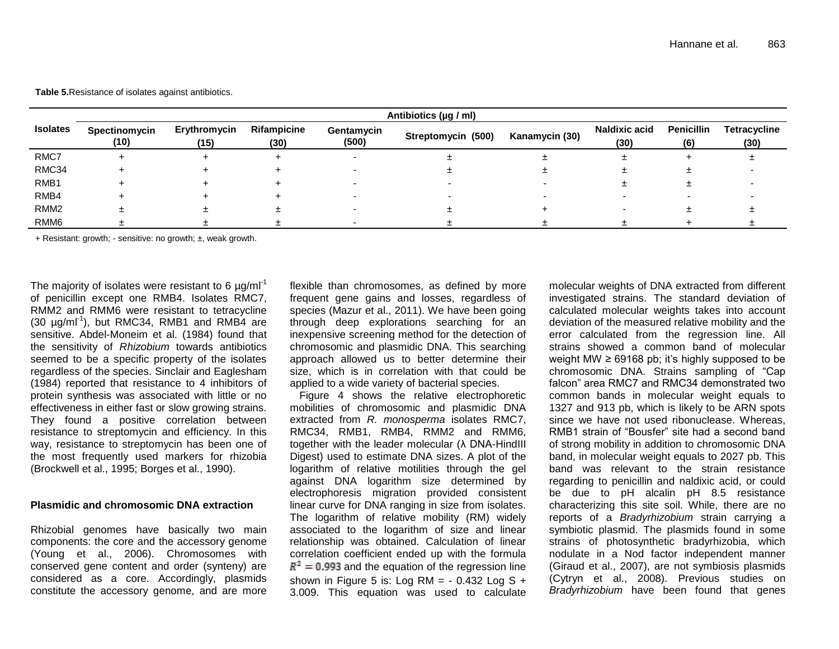**Table 5.**Resistance of isolates against antibiotics.

|                  | Antibiotics (µg / ml) |                      |                     |                     |                    |                |                              |                          |                             |  |  |  |  |
|------------------|-----------------------|----------------------|---------------------|---------------------|--------------------|----------------|------------------------------|--------------------------|-----------------------------|--|--|--|--|
| <b>Isolates</b>  | Spectinomycin<br>(10) | Erythromycin<br>(15) | Rifampicine<br>(30) | Gentamycin<br>(500) | Streptomycin (500) | Kanamycin (30) | <b>Naldixic acid</b><br>(30) | <b>Penicillin</b><br>(6) | <b>Tetracycline</b><br>(30) |  |  |  |  |
| RMC7             |                       |                      |                     |                     |                    |                |                              |                          |                             |  |  |  |  |
| RMC34            |                       |                      |                     |                     |                    |                |                              |                          |                             |  |  |  |  |
| RMB1             |                       |                      |                     |                     |                    |                |                              |                          |                             |  |  |  |  |
| RMB4             |                       |                      |                     |                     |                    |                |                              |                          |                             |  |  |  |  |
| RMM <sub>2</sub> |                       |                      |                     |                     |                    |                |                              |                          |                             |  |  |  |  |
| RMM <sub>6</sub> |                       |                      |                     |                     |                    |                |                              |                          |                             |  |  |  |  |

+ Resistant: growth; - sensitive: no growth; ±, weak growth.

The majority of isolates were resistant to 6  $\mu$ g/ml<sup>-1</sup> of penicillin except one RMB4. Isolates RMC7, RMM2 and RMM6 were resistant to tetracycline  $(30 \text{ µg/ml}^{-1})$ , but RMC34, RMB1 and RMB4 are sensitive. Abdel-Moneim et al. (1984) found that the sensitivity of *Rhizobium* towards antibiotics seemed to be a specific property of the isolates regardless of the species. Sinclair and Eaglesham (1984) reported that resistance to 4 inhibitors of protein synthesis was associated with little or no effectiveness in either fast or slow growing strains. They found a positive correlation between resistance to streptomycin and efficiency. In this way, resistance to streptomycin has been one of the most frequently used markers for rhizobia (Brockwell et al., 1995; Borges et al., 1990).

#### **Plasmidic and chromosomic DNA extraction**

Rhizobial genomes have basically two main components: the core and the accessory genome (Young et al., 2006). Chromosomes with conserved gene content and order (synteny) are considered as a core. Accordingly, plasmids constitute the accessory genome, and are more

flexible than chromosomes, as defined by more frequent gene gains and losses, regardless of species (Mazur et al., 2011). We have been going through deep explorations searching for an inexpensive screening method for the detection of chromosomic and plasmidic DNA. This searching approach allowed us to better determine their size, which is in correlation with that could be applied to a wide variety of bacterial species.

Figure 4 shows the relative electrophoretic mobilities of chromosomic and plasmidic DNA extracted from *R. monosperma* isolates RMC7, RMC34, RMB1, RMB4, RMM2 and RMM6, together with the leader molecular (λ DNA-HindIII Digest) used to estimate DNA sizes. A plot of the logarithm of relative motilities through the gel against DNA logarithm size determined by electrophoresis migration provided consistent linear curve for DNA ranging in size from isolates. The logarithm of relative mobility (RM) widely associated to the logarithm of size and linear relationship was obtained. Calculation of linear correlation coefficient ended up with the formula  $R^2 = 0.993$  and the equation of the regression line shown in Figure 5 is: Log RM =  $-$  0.432 Log S  $+$ 3.009. This equation was used to calculate

molecular weights of DNA extracted from different investigated strains. The standard deviation of calculated molecular weights takes into account deviation of the measured relative mobility and the error calculated from the regression line. All strains showed a common band of molecular weight MW  $\geq$  69168 pb; it's highly supposed to be chromosomic DNA. Strains sampling of "Cap falcon" area RMC7 and RMC34 demonstrated two common bands in molecular weight equals to 1327 and 913 pb, which is likely to be ARN spots since we have not used ribonuclease. Whereas, RMB1 strain of "Bousfer" site had a second band of strong mobility in addition to chromosomic DNA band, in molecular weight equals to 2027 pb. This band was relevant to the strain resistance regarding to penicillin and naldixic acid, or could be due to pH alcalin pH 8.5 resistance characterizing this site soil. While, there are no reports of a *Bradyrhizobium* strain carrying a symbiotic plasmid. The plasmids found in some strains of photosynthetic bradyrhizobia, which nodulate in a Nod factor independent manner (Giraud et al., 2007), are not symbiosis plasmids (Cytryn et al., 2008). Previous studies on *Bradyrhizobium* have been found that genes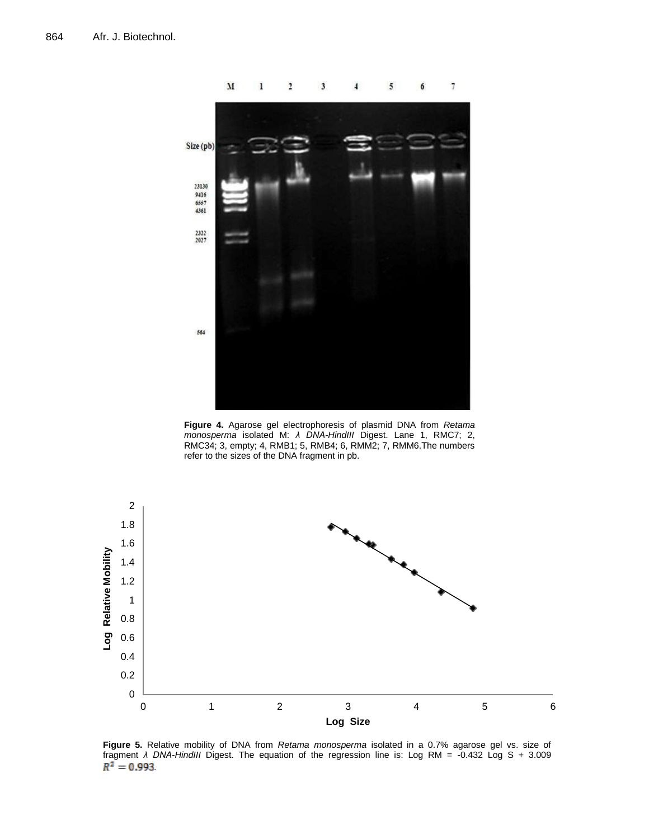

**Figure 4.** Agarose gel electrophoresis of plasmid DNA from *Retama monosperma* isolated M: *λ DNA-HindIII* Digest. Lane 1, RMC7; 2, RMC34; 3, empty; 4, RMB1; 5, RMB4; 6, RMM2; 7, RMM6.The numbers refer to the sizes of the DNA fragment in pb.



**Figure 5.** Relative mobility of DNA from *Retama monosperma* isolated in a 0.7% agarose gel vs. size of fragment *λ DNA-HindIII* Digest. The equation of the regression line is: Log RM = -0.432 Log S + 3.009  $R^2 = 0.993$ .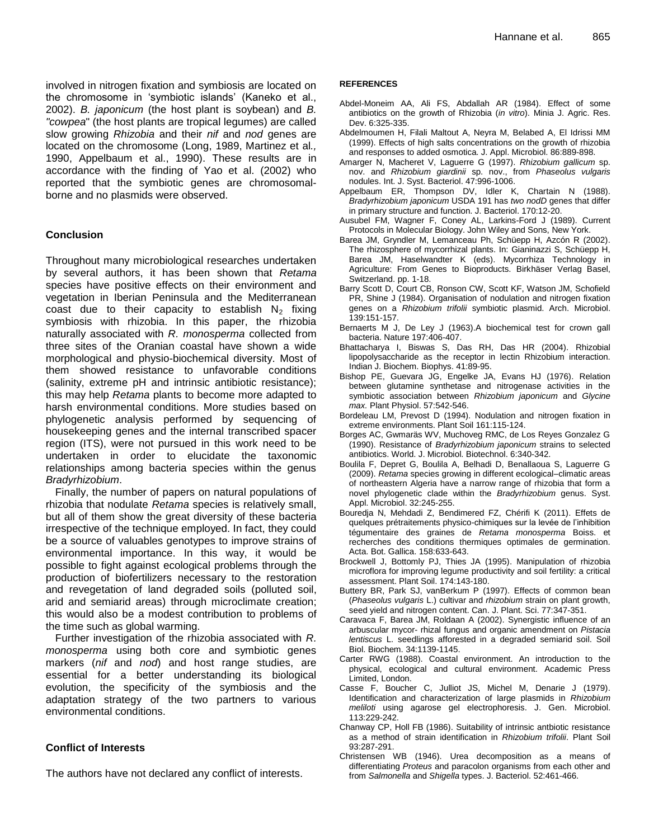involved in nitrogen fixation and symbiosis are located on the chromosome in "symbiotic islands" (Kaneko et al., 2002). *B. japonicum* (the host plant is soybean) and *B. "cowpea*" (the host plants are tropical legumes) are called slow growing *Rhizobia* and their *nif* and *nod* genes are located on the chromosome (Long, 1989, Martinez et al*.,* 1990, Appelbaum et al., 1990). These results are in accordance with the finding of Yao et al. (2002) who reported that the symbiotic genes are chromosomalborne and no plasmids were observed.

# **Conclusion**

Throughout many microbiological researches undertaken by several authors, it has been shown that *Retama*  species have positive effects on their environment and vegetation in Iberian Peninsula and the Mediterranean coast due to their capacity to establish  $N_2$  fixing symbiosis with rhizobia. In this paper, the rhizobia naturally associated with *R. monosperma* collected from three sites of the Oranian coastal have shown a wide morphological and physio-biochemical diversity. Most of them showed resistance to unfavorable conditions (salinity, extreme pH and intrinsic antibiotic resistance); this may help *Retama* plants to become more adapted to harsh environmental conditions. More studies based on phylogenetic analysis performed by sequencing of housekeeping genes and the internal transcribed spacer region (ITS), were not pursued in this work need to be undertaken in order to elucidate the taxonomic relationships among bacteria species within the genus *Bradyrhizobium*.

Finally, the number of papers on natural populations of rhizobia that nodulate *Retama* species is relatively small, but all of them show the great diversity of these bacteria irrespective of the technique employed. In fact, they could be a source of valuables genotypes to improve strains of environmental importance. In this way, it would be possible to fight against ecological problems through the production of biofertilizers necessary to the restoration and revegetation of land degraded soils (polluted soil, arid and semiarid areas) through microclimate creation; this would also be a modest contribution to problems of the time such as global warming.

Further investigation of the rhizobia associated with *R. monosperma* using both core and symbiotic genes markers (*nif* and *nod*) and host range studies, are essential for a better understanding its biological evolution, the specificity of the symbiosis and the adaptation strategy of the two partners to various environmental conditions.

# **Conflict of Interests**

The authors have not declared any conflict of interests.

#### **REFERENCES**

- Abdel-Moneim AA, Ali FS, Abdallah AR (1984). Effect of some antibiotics on the growth of Rhizobia (*in vitro*). Minia J. Agric. Res. Dev. 6:325-335.
- Abdelmoumen H, Filali Maltout A, Neyra M, Belabed A, El Idrissi MM (1999). Effects of high salts concentrations on the growth of rhizobia and responses to added osmotica. J. Appl. Microbiol. 86:889-898.
- Amarger N, Macheret V, Laguerre G (1997). *Rhizobium gallicum* sp. nov. and *Rhizobium giardinii* sp. nov., from *Phaseolus vulgaris* nodules. Int. J. Syst. Bacteriol. 47:996-1006.
- Appelbaum ER, Thompson DV, Idler K, Chartain N (1988). *Bradyrhizobium japonicum* USDA 191 has *two nodD* genes that differ in primary structure and function. J. Bacteriol. 170:12-20.
- Ausubel FM, Wagner F, Coney AL, Larkins-Ford J (1989). Current Protocols in Molecular Biology. John Wiley and Sons, New York.
- Barea JM, Gryndler M, Lemanceau Ph, Schüepp H, Azcón R (2002). The rhizosphere of mycorrhizal plants. In: Gianinazzi S, Schüepp H, Barea JM, Haselwandter K (eds). Mycorrhiza Technology in Agriculture: From Genes to Bioproducts. Birkhäser Verlag Basel, Switzerland. pp. 1-18.
- Barry Scott D, Court CB, Ronson CW, Scott KF, Watson JM, Schofield PR, Shine J (1984). Organisation of nodulation and nitrogen fixation genes on a *Rhizobium trifolii* symbiotic plasmid. Arch. Microbiol. 139:151-157.
- Bernaerts M J, De Ley J (1963).A biochemical test for crown gall bacteria. Nature 197:406-407.
- Bhattacharya I, Biswas S, Das RH, Das HR (2004). Rhizobial lipopolysaccharide as the receptor in lectin Rhizobium interaction. Indian J. Biochem. Biophys. 41:89-95.
- Bishop PE, Guevara JG, Engelke JA, Evans HJ (1976). Relation between glutamine synthetase and nitrogenase activities in the symbiotic association between *Rhizobium japonicum* and *Glycine max.* Plant Physiol. 57:542-546.
- Bordeleau LM, Prevost D (1994). Nodulation and nitrogen fixation in extreme environments. Plant Soil 161:115-124.
- Borges AC, Gwmaräs WV, Muchoveg RMC, de Los Reyes Gonzalez G (1990). Resistance of *Bradyrhizobium japonicum* strains to selected antibiotics. World. J. Microbiol. Biotechnol. 6:340-342.
- Boulila F, Depret G, Boulila A, Belhadi D, Benallaoua S, Laguerre G (2009). *Retama* species growing in different ecological–climatic areas of northeastern Algeria have a narrow range of rhizobia that form a novel phylogenetic clade within the *Bradyrhizobium* genus. Syst. Appl. Microbiol. 32:245-255.
- Bouredja N, Mehdadi Z, Bendimered FZ, Chérifi K (2011). Effets de quelques prétraitements physico-chimiques sur la levée de l"inhibition tégumentaire des graines de *Retama monosperma* Boiss. et recherches des conditions thermiques optimales de germination. Acta. Bot. Gallica. 158:633-643.
- Brockwell J, Bottomly PJ, Thies JA (1995). Manipulation of rhizobia microflora for improving legume productivity and soil fertility: a critical assessment. Plant Soil. 174:143-180.
- Buttery BR, Park SJ, vanBerkum P (1997). Effects of common bean (*Phaseolus vulgaris* L.) cultivar and *rhizobium* strain on plant growth, seed yield and nitrogen content. Can. J. Plant. Sci. 77:347-351.
- Caravaca F, Barea JM, Roldaan A (2002). Synergistic influence of an arbuscular mycor- rhizal fungus and organic amendment on *Pistacia lentiscus* L. seedlings afforested in a degraded semiarid soil. Soil Biol. Biochem. 34:1139-1145.
- Carter RWG (1988). Coastal environment. An introduction to the physical, ecological and cultural environment. Academic Press Limited, London.
- Casse F, Boucher C, Julliot JS, Michel M, Denarie J (1979). Identification and characterization of large plasmids in *Rhizobium meliloti* using agarose gel electrophoresis. J. Gen. Microbiol. 113:229-242.
- Chanway CP, Holl FB (1986). Suitability of intrinsic antbiotic resistance as a method of strain identification in *Rhizobium trifolii*. Plant Soil 93:287-291.
- Christensen WB (1946). Urea decomposition as a means of differentiating *Proteus* and paracolon organisms from each other and from *Salmonella* and *Shigella* types. J. Bacteriol. 52:461-466.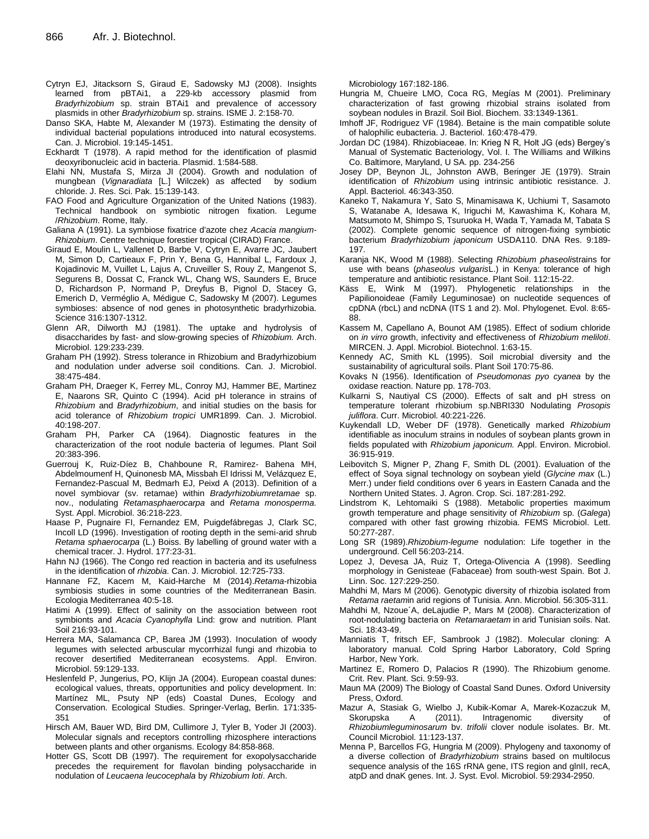- Cytryn EJ, Jitacksorn S, Giraud E, Sadowsky MJ (2008). Insights learned from pBTAi1, a 229-kb accessory plasmid from *Bradyrhizobium* sp. strain BTAi1 and prevalence of accessory plasmids in other *Bradyrhizobium* sp. strains. ISME J. 2:158-70.
- Danso SKA, Habte M, Alexander M (1973). Estimating the density of individual bacterial populations introduced into natural ecosystems. Can. J. Microbiol. 19:145-1451.
- Eckhardt T (1978). A rapid method for the identification of plasmid deoxyribonucleic acid in bacteria. Plasmid. 1:584-588.
- Elahi NN, Mustafa S, Mirza JI (2004). Growth and nodulation of mungbean (*Vignaradiata* [L.] Wilczek) as affected by sodium chloride. J. Res. Sci. Pak. 15:139-143.
- FAO Food and Agriculture Organization of the United Nations (1983). Technical handbook on symbiotic nitrogen fixation. Legume /*Rhizobium*. Rome, Italy.
- Galiana A (1991). La symbiose fixatrice d'azote chez *Acacia mangium*-*Rhizobium*. Centre technique forestier tropical (CIRAD) France.
- Giraud E, Moulin L, Vallenet D, Barbe V, Cytryn E, Avarre JC, [Jaubert](http://www.ncbi.nlm.nih.gov/pubmed/?term=Jaubert%20M%5BAuthor%5D&cauthor=true&cauthor_uid=17540897)  [M,](http://www.ncbi.nlm.nih.gov/pubmed/?term=Jaubert%20M%5BAuthor%5D&cauthor=true&cauthor_uid=17540897) [Simon D,](http://www.ncbi.nlm.nih.gov/pubmed/?term=Simon%20D%5BAuthor%5D&cauthor=true&cauthor_uid=17540897) [Cartieaux F,](http://www.ncbi.nlm.nih.gov/pubmed/?term=Cartieaux%20F%5BAuthor%5D&cauthor=true&cauthor_uid=17540897) [Prin Y,](http://www.ncbi.nlm.nih.gov/pubmed/?term=Prin%20Y%5BAuthor%5D&cauthor=true&cauthor_uid=17540897) [Bena G,](http://www.ncbi.nlm.nih.gov/pubmed/?term=Bena%20G%5BAuthor%5D&cauthor=true&cauthor_uid=17540897) [Hannibal L,](http://www.ncbi.nlm.nih.gov/pubmed/?term=Hannibal%20L%5BAuthor%5D&cauthor=true&cauthor_uid=17540897) [Fardoux J,](http://www.ncbi.nlm.nih.gov/pubmed/?term=Fardoux%20J%5BAuthor%5D&cauthor=true&cauthor_uid=17540897)  [Kojadinovic M,](http://www.ncbi.nlm.nih.gov/pubmed/?term=Kojadinovic%20M%5BAuthor%5D&cauthor=true&cauthor_uid=17540897) [Vuillet L,](http://www.ncbi.nlm.nih.gov/pubmed/?term=Vuillet%20L%5BAuthor%5D&cauthor=true&cauthor_uid=17540897) [Lajus A,](http://www.ncbi.nlm.nih.gov/pubmed/?term=Lajus%20A%5BAuthor%5D&cauthor=true&cauthor_uid=17540897) [Cruveiller S,](http://www.ncbi.nlm.nih.gov/pubmed/?term=Cruveiller%20S%5BAuthor%5D&cauthor=true&cauthor_uid=17540897) [Rouy Z,](http://www.ncbi.nlm.nih.gov/pubmed/?term=Rouy%20Z%5BAuthor%5D&cauthor=true&cauthor_uid=17540897) [Mangenot S,](http://www.ncbi.nlm.nih.gov/pubmed/?term=Mangenot%20S%5BAuthor%5D&cauthor=true&cauthor_uid=17540897)  [Segurens B,](http://www.ncbi.nlm.nih.gov/pubmed/?term=Segurens%20B%5BAuthor%5D&cauthor=true&cauthor_uid=17540897) [Dossat C,](http://www.ncbi.nlm.nih.gov/pubmed/?term=Dossat%20C%5BAuthor%5D&cauthor=true&cauthor_uid=17540897) [Franck WL,](http://www.ncbi.nlm.nih.gov/pubmed/?term=Franck%20WL%5BAuthor%5D&cauthor=true&cauthor_uid=17540897) [Chang WS,](http://www.ncbi.nlm.nih.gov/pubmed/?term=Chang%20WS%5BAuthor%5D&cauthor=true&cauthor_uid=17540897) [Saunders E,](http://www.ncbi.nlm.nih.gov/pubmed/?term=Saunders%20E%5BAuthor%5D&cauthor=true&cauthor_uid=17540897) [Bruce](http://www.ncbi.nlm.nih.gov/pubmed/?term=Bruce%20D%5BAuthor%5D&cauthor=true&cauthor_uid=17540897)  [D,](http://www.ncbi.nlm.nih.gov/pubmed/?term=Bruce%20D%5BAuthor%5D&cauthor=true&cauthor_uid=17540897) [Richardson P,](http://www.ncbi.nlm.nih.gov/pubmed/?term=Richardson%20P%5BAuthor%5D&cauthor=true&cauthor_uid=17540897) [Normand P,](http://www.ncbi.nlm.nih.gov/pubmed/?term=Normand%20P%5BAuthor%5D&cauthor=true&cauthor_uid=17540897) [Dreyfus B,](http://www.ncbi.nlm.nih.gov/pubmed/?term=Dreyfus%20B%5BAuthor%5D&cauthor=true&cauthor_uid=17540897) [Pignol D,](http://www.ncbi.nlm.nih.gov/pubmed/?term=Pignol%20D%5BAuthor%5D&cauthor=true&cauthor_uid=17540897) [Stacey G,](http://www.ncbi.nlm.nih.gov/pubmed/?term=Stacey%20G%5BAuthor%5D&cauthor=true&cauthor_uid=17540897)  [Emerich D,](http://www.ncbi.nlm.nih.gov/pubmed/?term=Emerich%20D%5BAuthor%5D&cauthor=true&cauthor_uid=17540897) [Verméglio A,](http://www.ncbi.nlm.nih.gov/pubmed/?term=Verm%C3%A9glio%20A%5BAuthor%5D&cauthor=true&cauthor_uid=17540897) [Médigue C,](http://www.ncbi.nlm.nih.gov/pubmed/?term=M%C3%A9digue%20C%5BAuthor%5D&cauthor=true&cauthor_uid=17540897) [Sadowsky M](http://www.ncbi.nlm.nih.gov/pubmed/?term=Sadowsky%20M%5BAuthor%5D&cauthor=true&cauthor_uid=17540897) (2007). Legumes symbioses: absence of nod genes in photosynthetic bradyrhizobia. Science 316:1307-1312.
- Glenn AR, Dilworth MJ (1981). The uptake and hydrolysis of disaccharides by fast- and slow-growing species of *Rhizobium.* Arch. Microbiol. 129:233-239.
- Graham PH (1992). Stress tolerance in Rhizobium and Bradyrhizobium and nodulation under adverse soil conditions. Can. J. Microbiol. 38:475-484.
- Graham PH, Draeger K, Ferrey ML, Conroy MJ, Hammer BE, Martinez E, Naarons SR, Quinto C (1994). Acid pH tolerance in strains of *Rhizobium* and *Bradyrhizobium*, and initial studies on the basis for acid tolerance of *Rhizobium tropici* UMR1899. Can. J. Microbiol. 40:198-207.
- Graham PH, Parker CA (1964). Diagnostic features in the characterization of the root nodule bacteria of legumes. Plant Soil 20:383-396.
- Guerrouj K, Ruiz-Díez B, Chahboune R, Ramirez- Bahena MH, Abdelmoumenf H, Quinonesb MA, Missbah El Idrissi M, Velázquez E, Fernandez-Pascual M, Bedmarh EJ, Peixd A (2013). Definition of a novel symbiovar (sv. retamae) within *Bradyrhizobiumretamae* sp. nov., nodulating *Retamasphaerocarpa* and *Retama monosperma.*  Syst. Appl. Microbiol. 36:218-223.
- Haase P, Pugnaire FI, Fernandez EM, Puigdefábregas J, Clark SC, Incoll LD (1996). Investigation of rooting depth in the semi-arid shrub *Retama sphaerocarpa* (L.) Boiss. By labelling of ground water with a chemical tracer. J. Hydrol. 177:23-31.
- Hahn NJ (1966). The Congo red reaction in bacteria and its usefulness in the identification of *rhizobia*. Can. J. Microbiol. 12:725-733.
- Hannane FZ, Kacem M, Kaid-Harche M (2014).*Retama*-rhizobia symbiosis studies in some countries of the Mediterranean Basin. Ecologia Mediterranea 40:5-18.
- Hatimi A (1999). Effect of salinity on the association between root symbionts and *Acacia Cyanophylla* Lind: grow and nutrition. Plant Soil 216:93-101.
- Herrera MA, Salamanca CP, Barea JM (1993). Inoculation of woody legumes with selected arbuscular mycorrhizal fungi and rhizobia to recover desertified Mediterranean ecosystems. Appl. Environ. Microbiol. 59:129-133.
- Heslenfeld P, Jungerius, PO, Klijn JA (2004). European coastal dunes: ecological values, threats, opportunities and policy development. In: Martínez ML, Psuty NP (eds) Coastal Dunes, Ecology and Conservation. Ecological Studies. Springer-Verlag, Berlin. 171:335- 351
- Hirsch AM, Bauer WD, Bird DM, Cullimore J, Tyler B, Yoder JI (2003). Molecular signals and receptors controlling rhizosphere interactions between plants and other organisms. Ecology 84:858-868.
- Hotter GS, Scott DB (1997). The requirement for exopolysaccharide precedes the requirement for flavolan binding polysaccharide in nodulation of *Leucaena leucocephala* by *Rhizobium loti*. Arch.

Microbiology 167:182-186.

- Hungria M, Chueire LMO, Coca RG, Megías M (2001). Preliminary characterization of fast growing rhizobial strains isolated from soybean nodules in Brazil. Soil Biol. Biochem. 33:1349-1361.
- Imhoff JF, Rodriguez VF (1984). Betaine is the main compatible solute of halophilic eubacteria. J. Bacteriol. 160:478-479.
- Jordan DC (1984). Rhizobiaceae. In: Krieg N R, Holt JG (eds) Bergey"s Manual of Systematic Bacteriology, Vol. I. The Williams and Wilkins Co. Baltimore, Maryland, U SA. pp. 234-256
- Josey DP, Beynon JL, Johnston AWB, Beringer JE (1979). Strain identification of *Rhizobium* using intrinsic antibiotic resistance. J. Appl. Bacteriol. 46:343-350.
- Kaneko T, Nakamura Y, Sato S, Minamisawa K, Uchiumi T, Sasamoto S, Watanabe A, Idesawa K, Iriguchi M, Kawashima K, Kohara M, Matsumoto M, Shimpo S, Tsuruoka H, Wada T, Yamada M, Tabata S (2002). Complete genomic sequence of nitrogen-fixing symbiotic bacterium *Bradyrhizobium japonicum* USDA110. DNA Res. 9:189- 197.
- Karanja NK, Wood M (1988). Selecting *Rhizobium phaseoli*strains for use with beans (*phaseolus vulgaris*L.) in Kenya: tolerance of high temperature and antibiotic resistance. Plant Soil. 112:15-22.
- Käss E, Wink M (1997). Phylogenetic relationships in the Papilionoideae (Family Leguminosae) on nucleotide sequences of cpDNA (rbcL) and ncDNA (ITS 1 and 2). Mol. Phylogenet. Evol. 8:65- 88.
- Kassem M, Capellano A, Bounot AM (1985). Effect of sodium chloride on *in virro* growth, infectivity and effectiveness of *Rhizobium meliloti*. MIRCEN. J. Appl. Microbiol. Biotechnol. 1:63-15.
- Kennedy AC, Smith KL (1995). Soil microbial diversity and the sustainability of agricultural soils. Plant Soil 170:75-86.
- Kovaks N (1956). Identification of *Pseudomonas pyo cyanea* by the oxidase reaction. Nature pp. 178-703.
- Kulkarni S, Nautiyal CS (2000). Effects of salt and pH stress on temperature tolerant rhizobium sp.NBRI330 Nodulating *Prosopis juliflora*. Curr. Microbiol. 40:221-226.
- Kuykendall LD, Weber DF (1978). Genetically marked *Rhizobium*  identifiable as inoculum strains in nodules of soybean plants grown in fields populated with *Rhizobium japonicum.* Appl. Environ. Microbiol. 36:915-919.
- Leibovitch S, Migner P, Zhang F, Smith DL (2001). Evaluation of the effect of Soya signal technology on soybean yield (*Glycine max* (L.) Merr.) under field conditions over 6 years in Eastern Canada and the Northern United States. J. Agron. Crop. Sci. 187:281-292.
- Lindstrom K, Lehtomaiki S (1988). Metabolic properties maximum growth temperature and phage sensitivity of *Rhizobium* sp. (*Galega*) compared with other fast growing rhizobia. FEMS Microbiol. Lett. 50:277-287.
- Long SR (1989).*Rhizobium-legume* nodulation: Life together in the underground. Cell 56:203-214.
- Lopez J, Devesa JA, Ruiz T, Ortega-Olivencia A (1998). Seedling morphology in Genisteae (Fabaceae) from south-west Spain. Bot J. Linn. Soc. 127:229-250.
- Mahdhi M, Mars M (2006). Genotypic diversity of rhizobia isolated from *Retama raetam*in arid regions of Tunisia. Ann. Microbiol. 56:305-311.
- Mahdhi M, Nzoue´A, deLajudie P, Mars M (2008). Characterization of root-nodulating bacteria on *Retamaraetam* in arid Tunisian soils. Nat. Sci. 18:43-49.
- Manniatis T, fritsch EF, Sambrook J (1982). Molecular cloning: A laboratory manual. Cold Spring Harbor Laboratory, Cold Spring Harbor, New York.
- Martinez E, Romero D, Palacios R (1990). The Rhizobium genome. Crit. Rev. Plant. Sci. 9:59-93.
- Maun MA (2009) The Biology of Coastal Sand Dunes. Oxford University Press, Oxford.
- Mazur A, Stasiak G, Wielbo J, Kubik-Komar A, Marek-Kozaczuk M, Skorupska A (2011). Intragenomic diversity of *Rhizobiumleguminosarum* bv. *trifolii* clover nodule isolates. Br. Mt. Council Microbiol. 11:123-137.
- Menna P, Barcellos FG, Hungria M (2009). Phylogeny and taxonomy of a diverse collection of *Bradyrhizobium* strains based on multilocus sequence analysis of the 16S rRNA gene, ITS region and glnII, recA, atpD and dnaK genes. Int. J. Syst. Evol. Microbiol. 59:2934-2950.